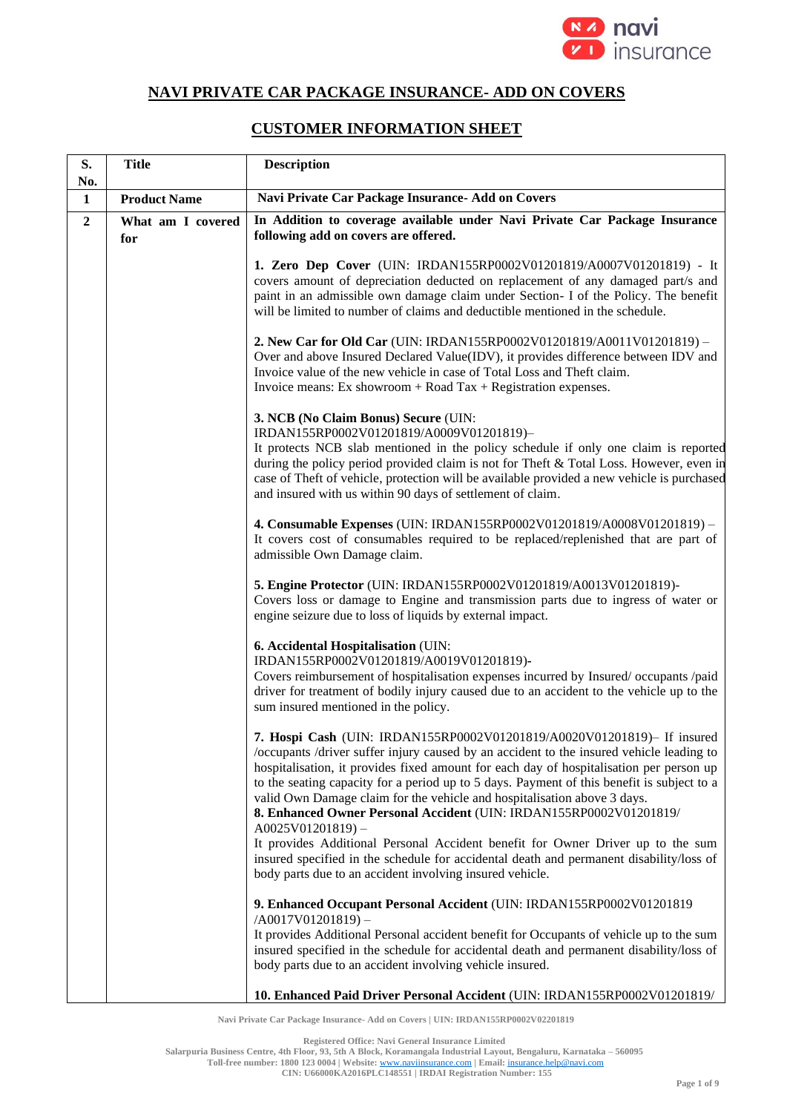

## **NAVI PRIVATE CAR PACKAGE INSURANCE- ADD ON COVERS**

## **CUSTOMER INFORMATION SHEET**

| S.<br>No.        | <b>Title</b>             | <b>Description</b>                                                                                                                                                                                                                                                                                                                                                                                                                                                                                                                  |
|------------------|--------------------------|-------------------------------------------------------------------------------------------------------------------------------------------------------------------------------------------------------------------------------------------------------------------------------------------------------------------------------------------------------------------------------------------------------------------------------------------------------------------------------------------------------------------------------------|
| $\mathbf{1}$     | <b>Product Name</b>      | Navi Private Car Package Insurance- Add on Covers                                                                                                                                                                                                                                                                                                                                                                                                                                                                                   |
| $\boldsymbol{2}$ | What am I covered<br>for | In Addition to coverage available under Navi Private Car Package Insurance<br>following add on covers are offered.                                                                                                                                                                                                                                                                                                                                                                                                                  |
|                  |                          | 1. Zero Dep Cover (UIN: IRDAN155RP0002V01201819/A0007V01201819) - It<br>covers amount of depreciation deducted on replacement of any damaged part/s and<br>paint in an admissible own damage claim under Section- I of the Policy. The benefit<br>will be limited to number of claims and deductible mentioned in the schedule.                                                                                                                                                                                                     |
|                  |                          | 2. New Car for Old Car (UIN: IRDAN155RP0002V01201819/A0011V01201819) –<br>Over and above Insured Declared Value(IDV), it provides difference between IDV and<br>Invoice value of the new vehicle in case of Total Loss and Theft claim.<br>Invoice means: Ex showroom $+$ Road Tax $+$ Registration expenses.                                                                                                                                                                                                                       |
|                  |                          | 3. NCB (No Claim Bonus) Secure (UIN:<br>IRDAN155RP0002V01201819/A0009V01201819)-<br>It protects NCB slab mentioned in the policy schedule if only one claim is reported<br>during the policy period provided claim is not for Theft & Total Loss. However, even in<br>case of Theft of vehicle, protection will be available provided a new vehicle is purchased<br>and insured with us within 90 days of settlement of claim.                                                                                                      |
|                  |                          | 4. Consumable Expenses (UIN: IRDAN155RP0002V01201819/A0008V01201819) -<br>It covers cost of consumables required to be replaced/replenished that are part of<br>admissible Own Damage claim.                                                                                                                                                                                                                                                                                                                                        |
|                  |                          | 5. Engine Protector (UIN: IRDAN155RP0002V01201819/A0013V01201819)-<br>Covers loss or damage to Engine and transmission parts due to ingress of water or<br>engine seizure due to loss of liquids by external impact.                                                                                                                                                                                                                                                                                                                |
|                  |                          | 6. Accidental Hospitalisation (UIN:<br>IRDAN155RP0002V01201819/A0019V01201819)-<br>Covers reimbursement of hospitalisation expenses incurred by Insured/occupants/paid<br>driver for treatment of bodily injury caused due to an accident to the vehicle up to the<br>sum insured mentioned in the policy.                                                                                                                                                                                                                          |
|                  |                          | 7. Hospi Cash (UIN: IRDAN155RP0002V01201819/A0020V01201819)- If insured<br>occupants /driver suffer injury caused by an accident to the insured vehicle leading to<br>hospitalisation, it provides fixed amount for each day of hospitalisation per person up<br>to the seating capacity for a period up to 5 days. Payment of this benefit is subject to a<br>valid Own Damage claim for the vehicle and hospitalisation above 3 days.<br>8. Enhanced Owner Personal Accident (UIN: IRDAN155RP0002V01201819/<br>$A0025V01201819$ – |
|                  |                          | It provides Additional Personal Accident benefit for Owner Driver up to the sum<br>insured specified in the schedule for accidental death and permanent disability/loss of<br>body parts due to an accident involving insured vehicle.                                                                                                                                                                                                                                                                                              |
|                  |                          | 9. Enhanced Occupant Personal Accident (UIN: IRDAN155RP0002V01201819<br>$/A0017V01201819$ -<br>It provides Additional Personal accident benefit for Occupants of vehicle up to the sum<br>insured specified in the schedule for accidental death and permanent disability/loss of<br>body parts due to an accident involving vehicle insured.                                                                                                                                                                                       |
|                  |                          | 10. Enhanced Paid Driver Personal Accident (UIN: IRDAN155RP0002V01201819/                                                                                                                                                                                                                                                                                                                                                                                                                                                           |

**Navi Private Car Package Insurance- Add on Covers | UIN: IRDAN155RP0002V02201819**

**Registered Office: Navi General Insurance Limited**

**Salarpuria Business Centre, 4th Floor, 93, 5th A Block, Koramangala Industrial Layout, Bengaluru, Karnataka – 560095**

**Toll-free number: 1800 123 0004 | Website:** [www.naviinsurance.com](http://www.naviinsurance.com/) **| Email:** [insurance.help@navi.com](mailto:insurance.help@navi.com)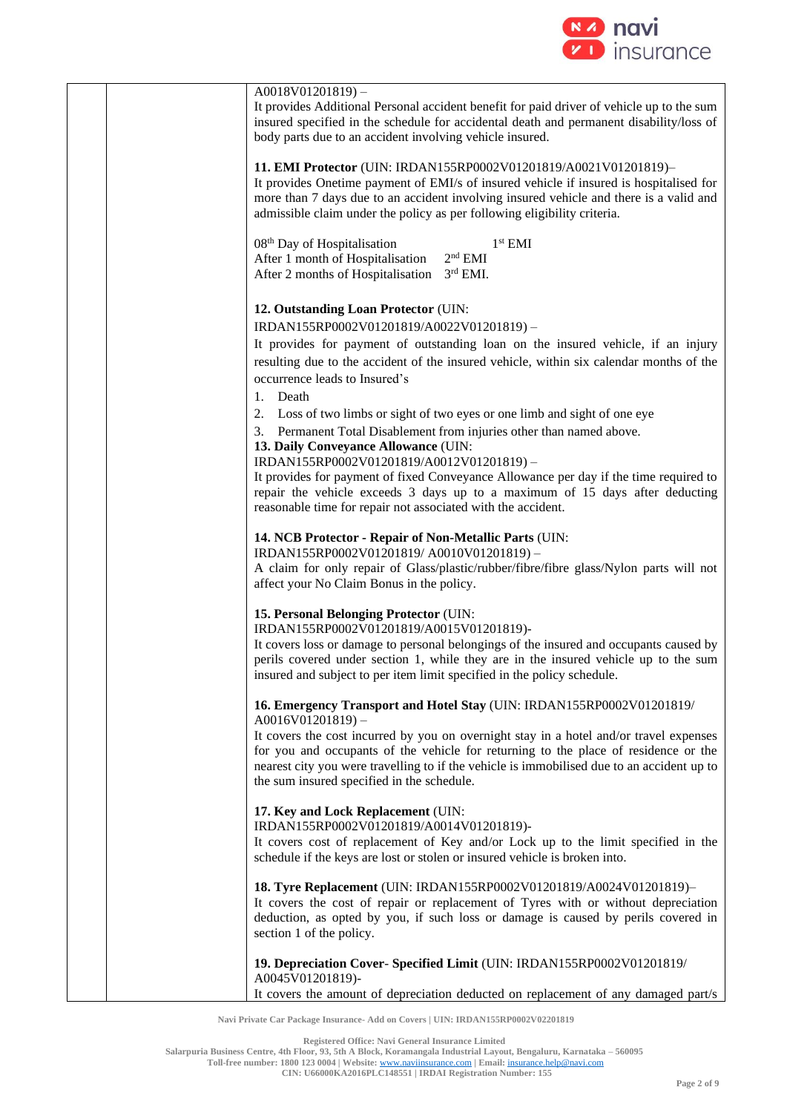

| $A0018V01201819$ –<br>It provides Additional Personal accident benefit for paid driver of vehicle up to the sum<br>insured specified in the schedule for accidental death and permanent disability/loss of<br>body parts due to an accident involving vehicle insured.                                                                                                                                                                                                             |
|------------------------------------------------------------------------------------------------------------------------------------------------------------------------------------------------------------------------------------------------------------------------------------------------------------------------------------------------------------------------------------------------------------------------------------------------------------------------------------|
| 11. EMI Protector (UIN: IRDAN155RP0002V01201819/A0021V01201819)-<br>It provides Onetime payment of EMI/s of insured vehicle if insured is hospitalised for<br>more than 7 days due to an accident involving insured vehicle and there is a valid and<br>admissible claim under the policy as per following eligibility criteria.                                                                                                                                                   |
| 08 <sup>th</sup> Day of Hospitalisation<br>$1st$ EMI<br>$2nd$ EMI<br>After 1 month of Hospitalisation<br>$3rd$ EMI.<br>After 2 months of Hospitalisation                                                                                                                                                                                                                                                                                                                           |
| 12. Outstanding Loan Protector (UIN:<br>IRDAN155RP0002V01201819/A0022V01201819)-<br>It provides for payment of outstanding loan on the insured vehicle, if an injury                                                                                                                                                                                                                                                                                                               |
| resulting due to the accident of the insured vehicle, within six calendar months of the<br>occurrence leads to Insured's<br>1. Death                                                                                                                                                                                                                                                                                                                                               |
| Loss of two limbs or sight of two eyes or one limb and sight of one eye<br>2.<br>3. Permanent Total Disablement from injuries other than named above.<br>13. Daily Conveyance Allowance (UIN:<br>IRDAN155RP0002V01201819/A0012V01201819)-<br>It provides for payment of fixed Conveyance Allowance per day if the time required to<br>repair the vehicle exceeds 3 days up to a maximum of 15 days after deducting<br>reasonable time for repair not associated with the accident. |
| 14. NCB Protector - Repair of Non-Metallic Parts (UIN:<br>IRDAN155RP0002V01201819/A0010V01201819)-<br>A claim for only repair of Glass/plastic/rubber/fibre/fibre glass/Nylon parts will not<br>affect your No Claim Bonus in the policy.                                                                                                                                                                                                                                          |
| 15. Personal Belonging Protector (UIN:<br>IRDAN155RP0002V01201819/A0015V01201819)-<br>It covers loss or damage to personal belongings of the insured and occupants caused by<br>perils covered under section 1, while they are in the insured vehicle up to the sum<br>insured and subject to per item limit specified in the policy schedule.                                                                                                                                     |
| 16. Emergency Transport and Hotel Stay (UIN: IRDAN155RP0002V01201819/<br>$A0016V01201819$ ) –<br>It covers the cost incurred by you on overnight stay in a hotel and/or travel expenses<br>for you and occupants of the vehicle for returning to the place of residence or the<br>nearest city you were travelling to if the vehicle is immobilised due to an accident up to<br>the sum insured specified in the schedule.                                                         |
| 17. Key and Lock Replacement (UIN:<br>IRDAN155RP0002V01201819/A0014V01201819)-<br>It covers cost of replacement of Key and/or Lock up to the limit specified in the<br>schedule if the keys are lost or stolen or insured vehicle is broken into.                                                                                                                                                                                                                                  |
| 18. Tyre Replacement (UIN: IRDAN155RP0002V01201819/A0024V01201819)-<br>It covers the cost of repair or replacement of Tyres with or without depreciation<br>deduction, as opted by you, if such loss or damage is caused by perils covered in<br>section 1 of the policy.                                                                                                                                                                                                          |
| 19. Depreciation Cover- Specified Limit (UIN: IRDAN155RP0002V01201819/<br>A0045V01201819)-<br>It covers the amount of depreciation deducted on replacement of any damaged part/s                                                                                                                                                                                                                                                                                                   |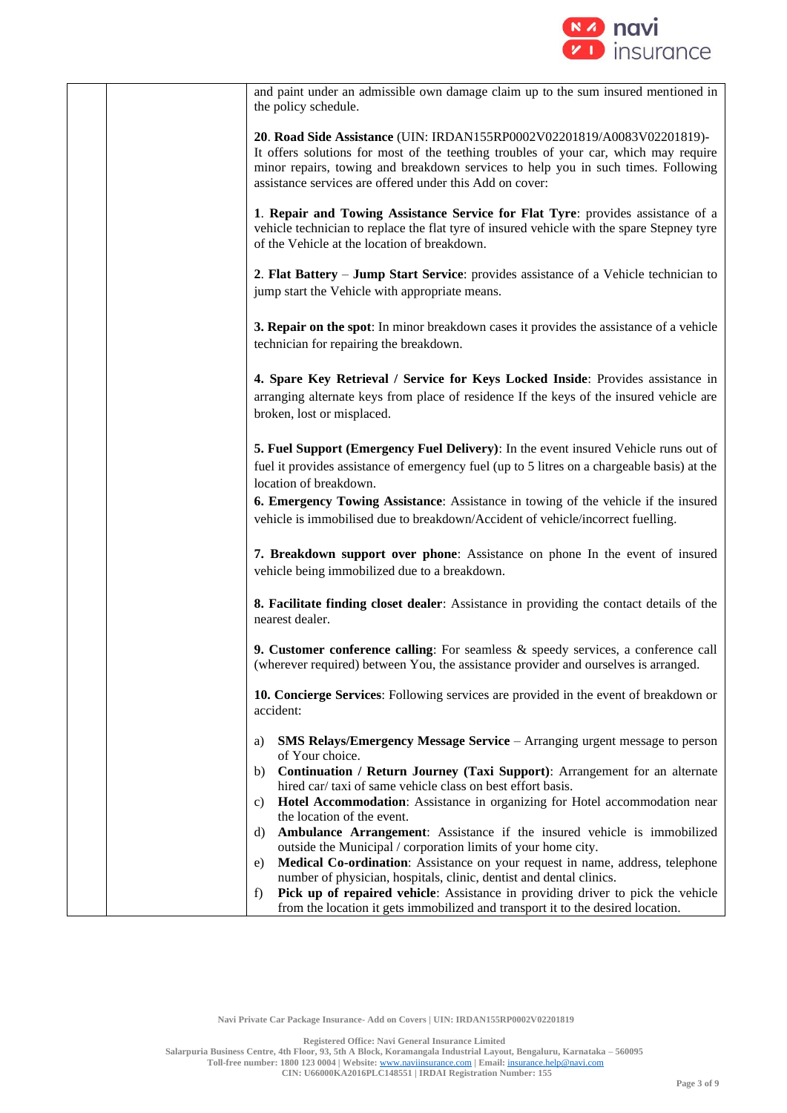

| and paint under an admissible own damage claim up to the sum insured mentioned in<br>the policy schedule.                                                                                                                                                                                                                                                                                                                                                                                                                       |
|---------------------------------------------------------------------------------------------------------------------------------------------------------------------------------------------------------------------------------------------------------------------------------------------------------------------------------------------------------------------------------------------------------------------------------------------------------------------------------------------------------------------------------|
| 20. Road Side Assistance (UIN: IRDAN155RP0002V02201819/A0083V02201819)-<br>It offers solutions for most of the teething troubles of your car, which may require<br>minor repairs, towing and breakdown services to help you in such times. Following<br>assistance services are offered under this Add on cover:                                                                                                                                                                                                                |
| 1. Repair and Towing Assistance Service for Flat Tyre: provides assistance of a<br>vehicle technician to replace the flat tyre of insured vehicle with the spare Stepney tyre<br>of the Vehicle at the location of breakdown.                                                                                                                                                                                                                                                                                                   |
| 2. Flat Battery – Jump Start Service: provides assistance of a Vehicle technician to<br>jump start the Vehicle with appropriate means.                                                                                                                                                                                                                                                                                                                                                                                          |
| <b>3. Repair on the spot:</b> In minor breakdown cases it provides the assistance of a vehicle<br>technician for repairing the breakdown.                                                                                                                                                                                                                                                                                                                                                                                       |
| 4. Spare Key Retrieval / Service for Keys Locked Inside: Provides assistance in<br>arranging alternate keys from place of residence If the keys of the insured vehicle are<br>broken, lost or misplaced.                                                                                                                                                                                                                                                                                                                        |
| 5. Fuel Support (Emergency Fuel Delivery): In the event insured Vehicle runs out of<br>fuel it provides assistance of emergency fuel (up to 5 litres on a chargeable basis) at the<br>location of breakdown.<br>6. Emergency Towing Assistance: Assistance in towing of the vehicle if the insured<br>vehicle is immobilised due to breakdown/Accident of vehicle/incorrect fuelling.                                                                                                                                           |
| 7. Breakdown support over phone: Assistance on phone In the event of insured<br>vehicle being immobilized due to a breakdown.                                                                                                                                                                                                                                                                                                                                                                                                   |
| 8. Facilitate finding closet dealer: Assistance in providing the contact details of the<br>nearest dealer.                                                                                                                                                                                                                                                                                                                                                                                                                      |
| <b>9. Customer conference calling</b> : For seamless $\&$ speedy services, a conference call<br>(wherever required) between You, the assistance provider and ourselves is arranged.                                                                                                                                                                                                                                                                                                                                             |
| 10. Concierge Services: Following services are provided in the event of breakdown or<br>accident:                                                                                                                                                                                                                                                                                                                                                                                                                               |
| <b>SMS Relays/Emergency Message Service</b> – Arranging urgent message to person<br>a)<br>of Your choice.<br>Continuation / Return Journey (Taxi Support): Arrangement for an alternate<br>b)<br>hired car/taxi of same vehicle class on best effort basis.<br>Hotel Accommodation: Assistance in organizing for Hotel accommodation near<br>C)<br>the location of the event.<br>Ambulance Arrangement: Assistance if the insured vehicle is immobilized<br>d)<br>outside the Municipal / corporation limits of your home city. |
| Medical Co-ordination: Assistance on your request in name, address, telephone<br>e)<br>number of physician, hospitals, clinic, dentist and dental clinics.<br>Pick up of repaired vehicle: Assistance in providing driver to pick the vehicle<br>f)<br>from the location it gets immobilized and transport it to the desired location.                                                                                                                                                                                          |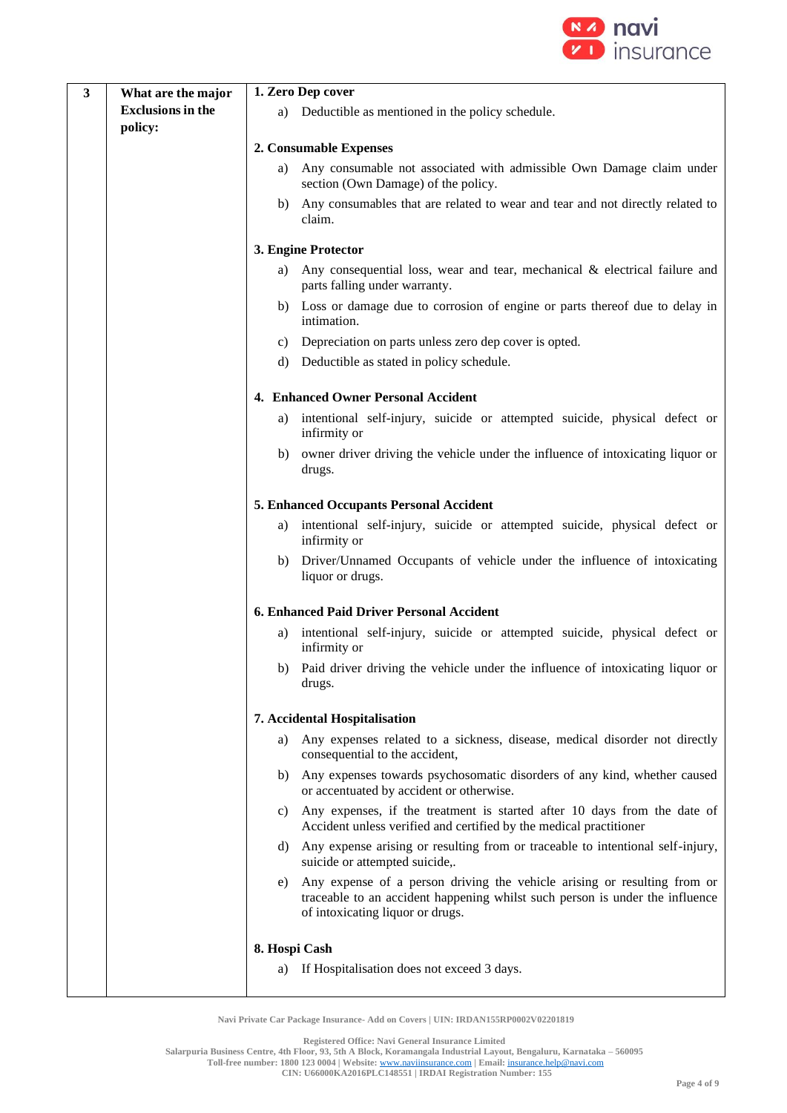

| $\mathbf{3}$ | What are the major       | 1. Zero Dep cover |                                                                                                                                                                                              |
|--------------|--------------------------|-------------------|----------------------------------------------------------------------------------------------------------------------------------------------------------------------------------------------|
|              | <b>Exclusions in the</b> | a)                | Deductible as mentioned in the policy schedule.                                                                                                                                              |
|              | policy:                  |                   |                                                                                                                                                                                              |
|              |                          |                   | 2. Consumable Expenses                                                                                                                                                                       |
|              |                          | a)                | Any consumable not associated with admissible Own Damage claim under<br>section (Own Damage) of the policy.                                                                                  |
|              |                          | b)                | Any consumables that are related to wear and tear and not directly related to<br>claim.                                                                                                      |
|              |                          |                   | 3. Engine Protector                                                                                                                                                                          |
|              |                          | a)                | Any consequential loss, wear and tear, mechanical & electrical failure and<br>parts falling under warranty.                                                                                  |
|              |                          | b)                | Loss or damage due to corrosion of engine or parts thereof due to delay in<br>intimation.                                                                                                    |
|              |                          | C)                | Depreciation on parts unless zero dep cover is opted.                                                                                                                                        |
|              |                          | d)                | Deductible as stated in policy schedule.                                                                                                                                                     |
|              |                          |                   | 4. Enhanced Owner Personal Accident                                                                                                                                                          |
|              |                          | a)                | intentional self-injury, suicide or attempted suicide, physical defect or                                                                                                                    |
|              |                          |                   | infirmity or                                                                                                                                                                                 |
|              |                          | b)                | owner driver driving the vehicle under the influence of intoxicating liquor or<br>drugs.                                                                                                     |
|              |                          |                   | 5. Enhanced Occupants Personal Accident                                                                                                                                                      |
|              |                          | a)                | intentional self-injury, suicide or attempted suicide, physical defect or<br>infirmity or                                                                                                    |
|              |                          | b)                | Driver/Unnamed Occupants of vehicle under the influence of intoxicating<br>liquor or drugs.                                                                                                  |
|              |                          |                   | 6. Enhanced Paid Driver Personal Accident                                                                                                                                                    |
|              |                          | a)                | intentional self-injury, suicide or attempted suicide, physical defect or<br>infirmity or                                                                                                    |
|              |                          |                   | b) Paid driver driving the vehicle under the influence of intoxicating liquor or<br>drugs.                                                                                                   |
|              |                          |                   | 7. Accidental Hospitalisation                                                                                                                                                                |
|              |                          | a)                | Any expenses related to a sickness, disease, medical disorder not directly<br>consequential to the accident,                                                                                 |
|              |                          | b)                | Any expenses towards psychosomatic disorders of any kind, whether caused<br>or accentuated by accident or otherwise.                                                                         |
|              |                          | C)                | Any expenses, if the treatment is started after 10 days from the date of<br>Accident unless verified and certified by the medical practitioner                                               |
|              |                          | d)                | Any expense arising or resulting from or traceable to intentional self-injury,<br>suicide or attempted suicide,.                                                                             |
|              |                          | e)                | Any expense of a person driving the vehicle arising or resulting from or<br>traceable to an accident happening whilst such person is under the influence<br>of intoxicating liquor or drugs. |
|              |                          | 8. Hospi Cash     |                                                                                                                                                                                              |
|              |                          | a)                | If Hospitalisation does not exceed 3 days.                                                                                                                                                   |
|              |                          |                   |                                                                                                                                                                                              |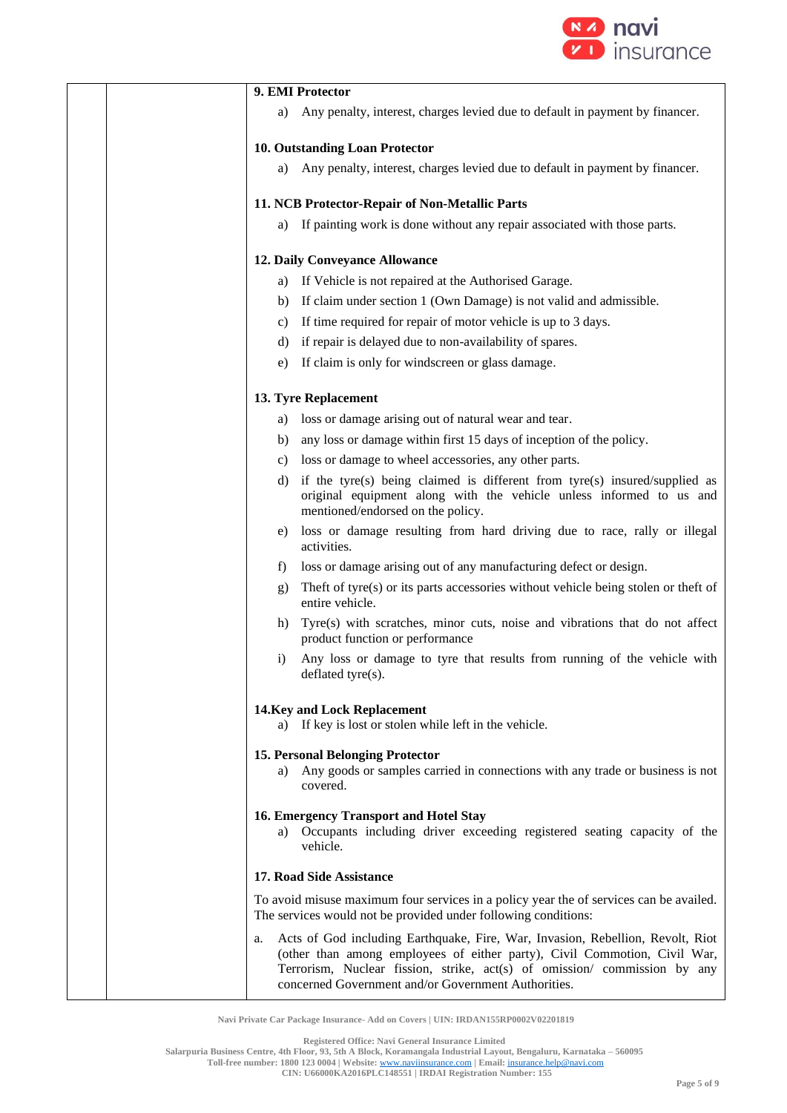

|              | 9. EMI Protector                                                                                                                                                                                                                                                                                |
|--------------|-------------------------------------------------------------------------------------------------------------------------------------------------------------------------------------------------------------------------------------------------------------------------------------------------|
| a)           | Any penalty, interest, charges levied due to default in payment by financer.                                                                                                                                                                                                                    |
|              | 10. Outstanding Loan Protector                                                                                                                                                                                                                                                                  |
| a)           | Any penalty, interest, charges levied due to default in payment by financer.                                                                                                                                                                                                                    |
|              | 11. NCB Protector-Repair of Non-Metallic Parts                                                                                                                                                                                                                                                  |
| a)           | If painting work is done without any repair associated with those parts.                                                                                                                                                                                                                        |
|              | 12. Daily Conveyance Allowance                                                                                                                                                                                                                                                                  |
| a)           | If Vehicle is not repaired at the Authorised Garage.                                                                                                                                                                                                                                            |
| b)           | If claim under section 1 (Own Damage) is not valid and admissible.                                                                                                                                                                                                                              |
| C)           | If time required for repair of motor vehicle is up to 3 days.                                                                                                                                                                                                                                   |
| d)           | if repair is delayed due to non-availability of spares.                                                                                                                                                                                                                                         |
| e)           | If claim is only for windscreen or glass damage.                                                                                                                                                                                                                                                |
|              | 13. Tyre Replacement                                                                                                                                                                                                                                                                            |
| a)           | loss or damage arising out of natural wear and tear.                                                                                                                                                                                                                                            |
| b)           | any loss or damage within first 15 days of inception of the policy.                                                                                                                                                                                                                             |
| C)           | loss or damage to wheel accessories, any other parts.                                                                                                                                                                                                                                           |
| d)           | if the tyre(s) being claimed is different from tyre(s) insured/supplied as<br>original equipment along with the vehicle unless informed to us and<br>mentioned/endorsed on the policy.                                                                                                          |
| e)           | loss or damage resulting from hard driving due to race, rally or illegal<br>activities.                                                                                                                                                                                                         |
| $\mathbf{f}$ | loss or damage arising out of any manufacturing defect or design.                                                                                                                                                                                                                               |
| g)           | Theft of tyre(s) or its parts accessories without vehicle being stolen or theft of<br>entire vehicle.                                                                                                                                                                                           |
| h)           | Tyre(s) with scratches, minor cuts, noise and vibrations that do not affect<br>product function or performance                                                                                                                                                                                  |
| $\mathbf{i}$ | Any loss or damage to tyre that results from running of the vehicle with<br>deflated tyre(s).                                                                                                                                                                                                   |
| a)           | 14. Key and Lock Replacement<br>If key is lost or stolen while left in the vehicle.                                                                                                                                                                                                             |
| a)           | 15. Personal Belonging Protector<br>Any goods or samples carried in connections with any trade or business is not<br>covered.                                                                                                                                                                   |
|              | 16. Emergency Transport and Hotel Stay<br>a) Occupants including driver exceeding registered seating capacity of the<br>vehicle.                                                                                                                                                                |
|              | 17. Road Side Assistance                                                                                                                                                                                                                                                                        |
|              | To avoid misuse maximum four services in a policy year the of services can be availed.<br>The services would not be provided under following conditions:                                                                                                                                        |
| a.           | Acts of God including Earthquake, Fire, War, Invasion, Rebellion, Revolt, Riot<br>(other than among employees of either party), Civil Commotion, Civil War,<br>Terrorism, Nuclear fission, strike, act(s) of omission/ commission by any<br>concerned Government and/or Government Authorities. |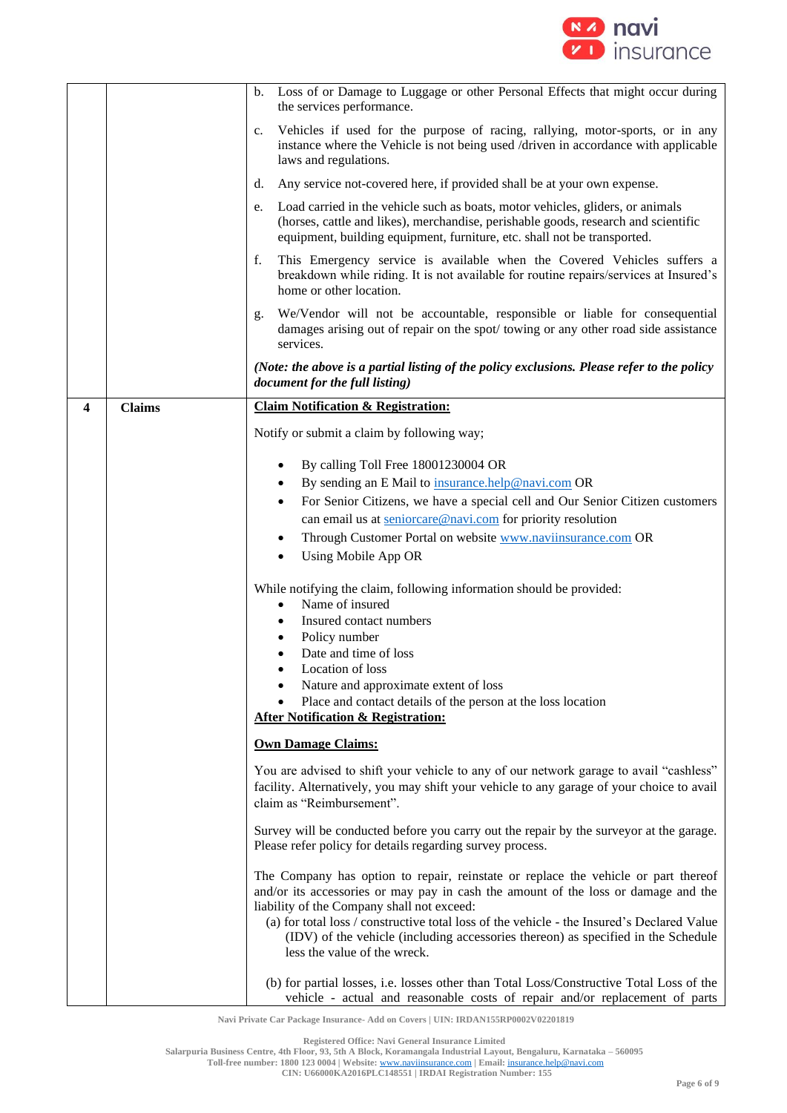

|   |               | Loss of or Damage to Luggage or other Personal Effects that might occur during<br>b.<br>the services performance.                                                                                                                                                                                                    |
|---|---------------|----------------------------------------------------------------------------------------------------------------------------------------------------------------------------------------------------------------------------------------------------------------------------------------------------------------------|
|   |               | Vehicles if used for the purpose of racing, rallying, motor-sports, or in any<br>$c_{\cdot}$<br>instance where the Vehicle is not being used /driven in accordance with applicable<br>laws and regulations.                                                                                                          |
|   |               | Any service not-covered here, if provided shall be at your own expense.<br>d.                                                                                                                                                                                                                                        |
|   |               | Load carried in the vehicle such as boats, motor vehicles, gliders, or animals<br>e.<br>(horses, cattle and likes), merchandise, perishable goods, research and scientific<br>equipment, building equipment, furniture, etc. shall not be transported.                                                               |
|   |               | f.<br>This Emergency service is available when the Covered Vehicles suffers a<br>breakdown while riding. It is not available for routine repairs/services at Insured's<br>home or other location.                                                                                                                    |
|   |               | We/Vendor will not be accountable, responsible or liable for consequential<br>g.<br>damages arising out of repair on the spot/towing or any other road side assistance<br>services.                                                                                                                                  |
|   |               | (Note: the above is a partial listing of the policy exclusions. Please refer to the policy<br>document for the full listing)                                                                                                                                                                                         |
| 4 | <b>Claims</b> | <b>Claim Notification &amp; Registration:</b>                                                                                                                                                                                                                                                                        |
|   |               | Notify or submit a claim by following way;                                                                                                                                                                                                                                                                           |
|   |               | By calling Toll Free 18001230004 OR<br>٠                                                                                                                                                                                                                                                                             |
|   |               | By sending an E Mail to insurance.help@navi.com OR                                                                                                                                                                                                                                                                   |
|   |               | For Senior Citizens, we have a special cell and Our Senior Citizen customers<br>٠                                                                                                                                                                                                                                    |
|   |               | can email us at seniorcare@navi.com for priority resolution                                                                                                                                                                                                                                                          |
|   |               | Through Customer Portal on website www.naviinsurance.com OR<br>$\bullet$                                                                                                                                                                                                                                             |
|   |               | Using Mobile App OR<br>$\bullet$                                                                                                                                                                                                                                                                                     |
|   |               |                                                                                                                                                                                                                                                                                                                      |
|   |               | While notifying the claim, following information should be provided:<br>Name of insured<br>$\bullet$                                                                                                                                                                                                                 |
|   |               | Insured contact numbers                                                                                                                                                                                                                                                                                              |
|   |               | Policy number                                                                                                                                                                                                                                                                                                        |
|   |               | Date and time of loss                                                                                                                                                                                                                                                                                                |
|   |               | Location of loss                                                                                                                                                                                                                                                                                                     |
|   |               | Nature and approximate extent of loss                                                                                                                                                                                                                                                                                |
|   |               | Place and contact details of the person at the loss location                                                                                                                                                                                                                                                         |
|   |               | <b>After Notification &amp; Registration:</b>                                                                                                                                                                                                                                                                        |
|   |               | <b>Own Damage Claims:</b>                                                                                                                                                                                                                                                                                            |
|   |               | You are advised to shift your vehicle to any of our network garage to avail "cashless"                                                                                                                                                                                                                               |
|   |               | facility. Alternatively, you may shift your vehicle to any garage of your choice to avail                                                                                                                                                                                                                            |
|   |               | claim as "Reimbursement".                                                                                                                                                                                                                                                                                            |
|   |               | Survey will be conducted before you carry out the repair by the surveyor at the garage.<br>Please refer policy for details regarding survey process.                                                                                                                                                                 |
|   |               | The Company has option to repair, reinstate or replace the vehicle or part thereof<br>and/or its accessories or may pay in cash the amount of the loss or damage and the<br>liability of the Company shall not exceed:<br>(a) for total loss / constructive total loss of the vehicle - the Insured's Declared Value |
|   |               | (IDV) of the vehicle (including accessories thereon) as specified in the Schedule<br>less the value of the wreck.                                                                                                                                                                                                    |
|   |               | (b) for partial losses, i.e. losses other than Total Loss/Constructive Total Loss of the<br>vehicle - actual and reasonable costs of repair and/or replacement of parts                                                                                                                                              |

**CIN: U66000KA2016PLC148551 | IRDAI Registration Number: 155**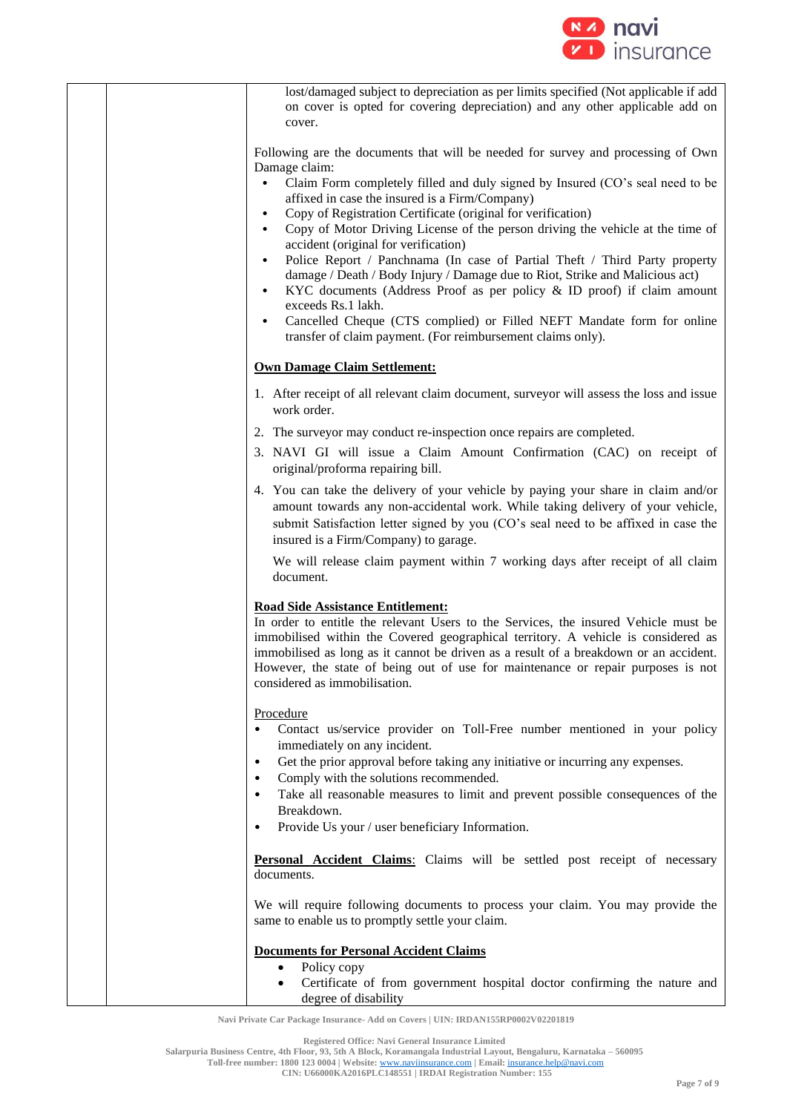

| lost/damaged subject to depreciation as per limits specified (Not applicable if add<br>on cover is opted for covering depreciation) and any other applicable add on<br>cover.                                                                                                                                                                                                                                                      |
|------------------------------------------------------------------------------------------------------------------------------------------------------------------------------------------------------------------------------------------------------------------------------------------------------------------------------------------------------------------------------------------------------------------------------------|
| Following are the documents that will be needed for survey and processing of Own<br>Damage claim:                                                                                                                                                                                                                                                                                                                                  |
| Claim Form completely filled and duly signed by Insured (CO's seal need to be<br>$\bullet$<br>affixed in case the insured is a Firm/Company)<br>Copy of Registration Certificate (original for verification)<br>$\bullet$<br>Copy of Motor Driving License of the person driving the vehicle at the time of<br>$\bullet$<br>accident (original for verification)                                                                   |
| Police Report / Panchnama (In case of Partial Theft / Third Party property<br>$\bullet$<br>damage / Death / Body Injury / Damage due to Riot, Strike and Malicious act)<br>KYC documents (Address Proof as per policy & ID proof) if claim amount<br>$\bullet$<br>exceeds Rs.1 lakh.                                                                                                                                               |
| Cancelled Cheque (CTS complied) or Filled NEFT Mandate form for online<br>$\bullet$<br>transfer of claim payment. (For reimbursement claims only).                                                                                                                                                                                                                                                                                 |
| <b>Own Damage Claim Settlement:</b>                                                                                                                                                                                                                                                                                                                                                                                                |
| 1. After receipt of all relevant claim document, surveyor will assess the loss and issue<br>work order.                                                                                                                                                                                                                                                                                                                            |
| 2. The surveyor may conduct re-inspection once repairs are completed.                                                                                                                                                                                                                                                                                                                                                              |
| 3. NAVI GI will issue a Claim Amount Confirmation (CAC) on receipt of<br>original/proforma repairing bill.                                                                                                                                                                                                                                                                                                                         |
| 4. You can take the delivery of your vehicle by paying your share in claim and/or<br>amount towards any non-accidental work. While taking delivery of your vehicle,<br>submit Satisfaction letter signed by you (CO's seal need to be affixed in case the<br>insured is a Firm/Company) to garage.                                                                                                                                 |
| We will release claim payment within 7 working days after receipt of all claim<br>document.                                                                                                                                                                                                                                                                                                                                        |
| <b>Road Side Assistance Entitlement:</b><br>In order to entitle the relevant Users to the Services, the insured Vehicle must be<br>immobilised within the Covered geographical territory. A vehicle is considered as<br>immobilised as long as it cannot be driven as a result of a breakdown or an accident.<br>However, the state of being out of use for maintenance or repair purposes is not<br>considered as immobilisation. |
| Procedure<br>Contact us/service provider on Toll-Free number mentioned in your policy<br>$\bullet$<br>immediately on any incident.                                                                                                                                                                                                                                                                                                 |
| Get the prior approval before taking any initiative or incurring any expenses.<br>$\bullet$<br>Comply with the solutions recommended.<br>$\bullet$<br>Take all reasonable measures to limit and prevent possible consequences of the<br>Breakdown.<br>Provide Us your / user beneficiary Information.                                                                                                                              |
| $\bullet$                                                                                                                                                                                                                                                                                                                                                                                                                          |
| Personal Accident Claims: Claims will be settled post receipt of necessary<br>documents.                                                                                                                                                                                                                                                                                                                                           |
| We will require following documents to process your claim. You may provide the<br>same to enable us to promptly settle your claim.                                                                                                                                                                                                                                                                                                 |
| <b>Documents for Personal Accident Claims</b>                                                                                                                                                                                                                                                                                                                                                                                      |
| Policy copy<br>$\bullet$<br>Certificate of from government hospital doctor confirming the nature and                                                                                                                                                                                                                                                                                                                               |
| $\bullet$<br>degree of disability                                                                                                                                                                                                                                                                                                                                                                                                  |

**Registered Office: Navi General Insurance Limited**

**Salarpuria Business Centre, 4th Floor, 93, 5th A Block, Koramangala Industrial Layout, Bengaluru, Karnataka – 560095**

**Toll-free number: 1800 123 0004 | Website:** [www.naviinsurance.com](http://www.naviinsurance.com/) **| Email:** [insurance.help@navi.com](mailto:insurance.help@navi.com)

**CIN: U66000KA2016PLC148551 | IRDAI Registration Number: 155**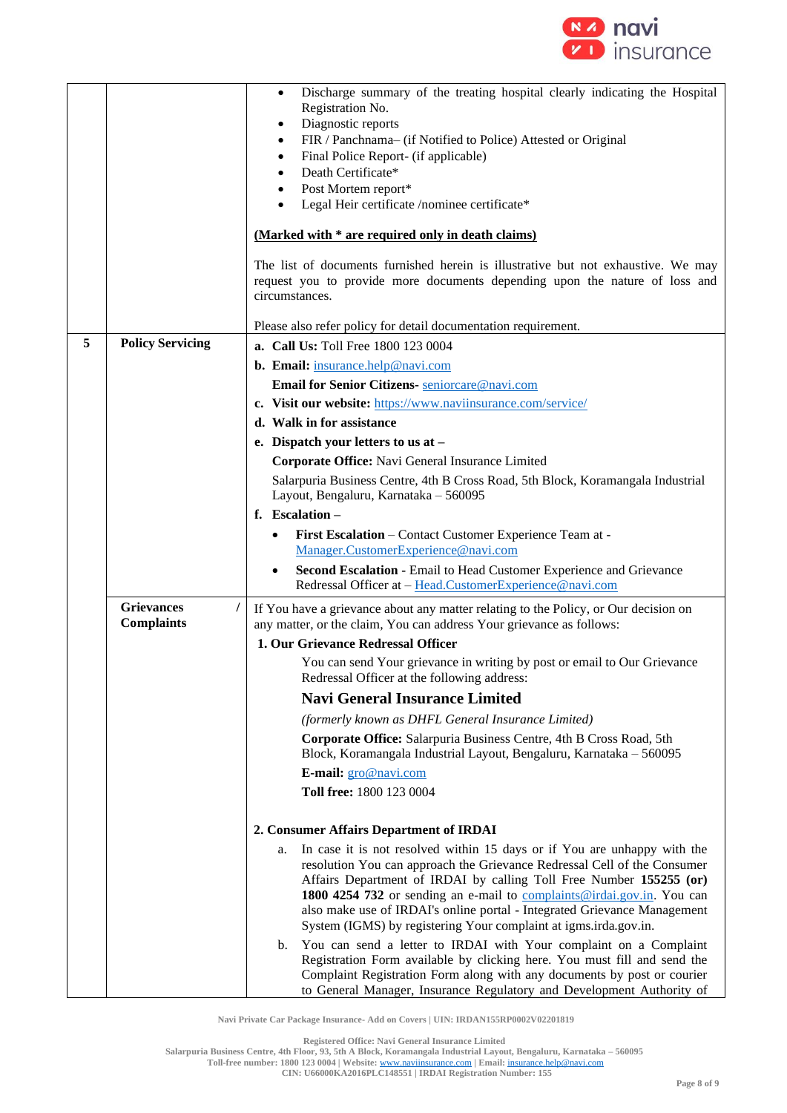

|   |                         | Discharge summary of the treating hospital clearly indicating the Hospital<br>$\bullet$                                                                                                                                                                                                                                                                                                 |
|---|-------------------------|-----------------------------------------------------------------------------------------------------------------------------------------------------------------------------------------------------------------------------------------------------------------------------------------------------------------------------------------------------------------------------------------|
|   |                         | Registration No.                                                                                                                                                                                                                                                                                                                                                                        |
|   |                         | Diagnostic reports<br>٠<br>FIR / Panchnama- (if Notified to Police) Attested or Original<br>٠                                                                                                                                                                                                                                                                                           |
|   |                         | Final Police Report- (if applicable)<br>$\bullet$                                                                                                                                                                                                                                                                                                                                       |
|   |                         | Death Certificate*<br>$\bullet$                                                                                                                                                                                                                                                                                                                                                         |
|   |                         | Post Mortem report*<br>$\bullet$                                                                                                                                                                                                                                                                                                                                                        |
|   |                         | Legal Heir certificate /nominee certificate*<br>$\bullet$                                                                                                                                                                                                                                                                                                                               |
|   |                         | (Marked with * are required only in death claims)                                                                                                                                                                                                                                                                                                                                       |
|   |                         | The list of documents furnished herein is illustrative but not exhaustive. We may                                                                                                                                                                                                                                                                                                       |
|   |                         | request you to provide more documents depending upon the nature of loss and                                                                                                                                                                                                                                                                                                             |
|   |                         | circumstances.                                                                                                                                                                                                                                                                                                                                                                          |
|   |                         | Please also refer policy for detail documentation requirement.                                                                                                                                                                                                                                                                                                                          |
| 5 | <b>Policy Servicing</b> | a. Call Us: Toll Free 1800 123 0004                                                                                                                                                                                                                                                                                                                                                     |
|   |                         | b. Email: insurance.help@navi.com                                                                                                                                                                                                                                                                                                                                                       |
|   |                         | Email for Senior Citizens- seniorcare@navi.com                                                                                                                                                                                                                                                                                                                                          |
|   |                         | c. Visit our website: https://www.naviinsurance.com/service/                                                                                                                                                                                                                                                                                                                            |
|   |                         | d. Walk in for assistance                                                                                                                                                                                                                                                                                                                                                               |
|   |                         | e. Dispatch your letters to us at -                                                                                                                                                                                                                                                                                                                                                     |
|   |                         | Corporate Office: Navi General Insurance Limited                                                                                                                                                                                                                                                                                                                                        |
|   |                         | Salarpuria Business Centre, 4th B Cross Road, 5th Block, Koramangala Industrial                                                                                                                                                                                                                                                                                                         |
|   |                         | Layout, Bengaluru, Karnataka - 560095                                                                                                                                                                                                                                                                                                                                                   |
|   |                         | f. Escalation-                                                                                                                                                                                                                                                                                                                                                                          |
|   |                         | First Escalation - Contact Customer Experience Team at -<br>$\bullet$                                                                                                                                                                                                                                                                                                                   |
|   |                         | Manager.CustomerExperience@navi.com                                                                                                                                                                                                                                                                                                                                                     |
|   |                         | Second Escalation - Email to Head Customer Experience and Grievance<br>$\bullet$<br>Redressal Officer at - Head.CustomerExperience@navi.com                                                                                                                                                                                                                                             |
|   | <b>Grievances</b>       | If You have a grievance about any matter relating to the Policy, or Our decision on                                                                                                                                                                                                                                                                                                     |
|   | <b>Complaints</b>       | any matter, or the claim, You can address Your grievance as follows:                                                                                                                                                                                                                                                                                                                    |
|   |                         | 1. Our Grievance Redressal Officer                                                                                                                                                                                                                                                                                                                                                      |
|   |                         | You can send Your grievance in writing by post or email to Our Grievance<br>Redressal Officer at the following address:                                                                                                                                                                                                                                                                 |
|   |                         | <b>Navi General Insurance Limited</b>                                                                                                                                                                                                                                                                                                                                                   |
|   |                         | (formerly known as DHFL General Insurance Limited)                                                                                                                                                                                                                                                                                                                                      |
|   |                         | Corporate Office: Salarpuria Business Centre, 4th B Cross Road, 5th<br>Block, Koramangala Industrial Layout, Bengaluru, Karnataka - 560095                                                                                                                                                                                                                                              |
|   |                         | E-mail: gro@navi.com                                                                                                                                                                                                                                                                                                                                                                    |
|   |                         | Toll free: 1800 123 0004                                                                                                                                                                                                                                                                                                                                                                |
|   |                         |                                                                                                                                                                                                                                                                                                                                                                                         |
|   |                         | 2. Consumer Affairs Department of IRDAI                                                                                                                                                                                                                                                                                                                                                 |
|   |                         | In case it is not resolved within 15 days or if You are unhappy with the<br>a.<br>resolution You can approach the Grievance Redressal Cell of the Consumer<br>Affairs Department of IRDAI by calling Toll Free Number 155255 (or)<br>1800 4254 732 or sending an e-mail to complaints@irdai.gov.in. You can<br>also make use of IRDAI's online portal - Integrated Grievance Management |
|   |                         | System (IGMS) by registering Your complaint at igms.irda.gov.in.<br>You can send a letter to IRDAI with Your complaint on a Complaint<br>b.<br>Registration Form available by clicking here. You must fill and send the<br>Complaint Registration Form along with any documents by post or courier<br>to General Manager, Insurance Regulatory and Development Authority of             |

**Registered Office: Navi General Insurance Limited Salarpuria Business Centre, 4th Floor, 93, 5th A Block, Koramangala Industrial Layout, Bengaluru, Karnataka – 560095 Toll-free number: 1800 123 0004 | Website:** [www.naviinsurance.com](http://www.naviinsurance.com/) **| Email:** [insurance.help@navi.com](mailto:insurance.help@navi.com)

**CIN: U66000KA2016PLC148551 | IRDAI Registration Number: 155**